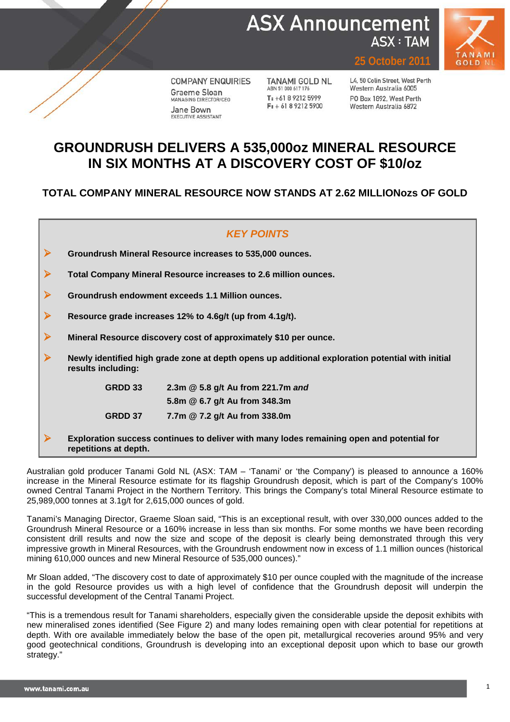



**COMPANY ENQUIRIES** Graeme Sloan MANAGING DIRECTOR/CEO Jane Bown EXECUTIVE ASSISTANT

**TANAMI GOLD NL** ABN 51 000 617 176  $T: +61892125999$  $F: +61892125900$ 

L4, 50 Colin Street, West Perth Western Australia 6005 PO Box 1892, West Perth Western Australia 6872

**2011** 

## **GROUNDRUSH DELIVERS A 535,000oz MINERAL RESOURCE IN SIX MONTHS AT A DISCOVERY COST OF \$10/oz**

**TOTAL COMPANY MINERAL RESOURCE NOW STANDS AT 2.62 MILLIONozs OF GOLD**

## *KEY POINTS*

**Groundrush Mineral Resource increases to 535,000 ounces.** 

**Total Company Mineral Resource increases to 2.6 million ounces.**

**Groundrush endowment exceeds 1.1 Million ounces.** 

**Resource grade increases 12% to 4.6g/t (up from 4.1g/t).** 

**Mineral Resource discovery cost of approximately \$10 per ounce.** 

 **Newly identified high grade zone at depth opens up additional exploration potential with initial results including:**

> **GRDD 33 2.3m @ 5.8 g/t Au from 221.7m** *and* **5.8m @ 6.7 g/t Au from 348.3m GRDD 37 7.7m @ 7.2 g/t Au from 338.0m**

 **Exploration success continues to deliver with many lodes remaining open and potential for repetitions at depth.**

Australian gold producer Tanami Gold NL (ASX: TAM – 'Tanami' or 'the Company') is pleased to announce a 160% increase in the Mineral Resource estimate for its flagship Groundrush deposit, which is part of the Company's 100% owned Central Tanami Project in the Northern Territory. This brings the Company's total Mineral Resource estimate to 25,989,000 tonnes at 3.1g/t for 2,615,000 ounces of gold.

Tanami's Managing Director, Graeme Sloan said, "This is an exceptional result, with over 330,000 ounces added to the Groundrush Mineral Resource or a 160% increase in less than six months. For some months we have been recording consistent drill results and now the size and scope of the deposit is clearly being demonstrated through this very impressive growth in Mineral Resources, with the Groundrush endowment now in excess of 1.1 million ounces (historical mining 610,000 ounces and new Mineral Resource of 535,000 ounces)."

Mr Sloan added, "The discovery cost to date of approximately \$10 per ounce coupled with the magnitude of the increase in the gold Resource provides us with a high level of confidence that the Groundrush deposit will underpin the successful development of the Central Tanami Project.

"This is a tremendous result for Tanami shareholders, especially given the considerable upside the deposit exhibits with new mineralised zones identified (See Figure 2) and many lodes remaining open with clear potential for repetitions at depth. With ore available immediately below the base of the open pit, metallurgical recoveries around 95% and very good geotechnical conditions, Groundrush is developing into an exceptional deposit upon which to base our growth strategy."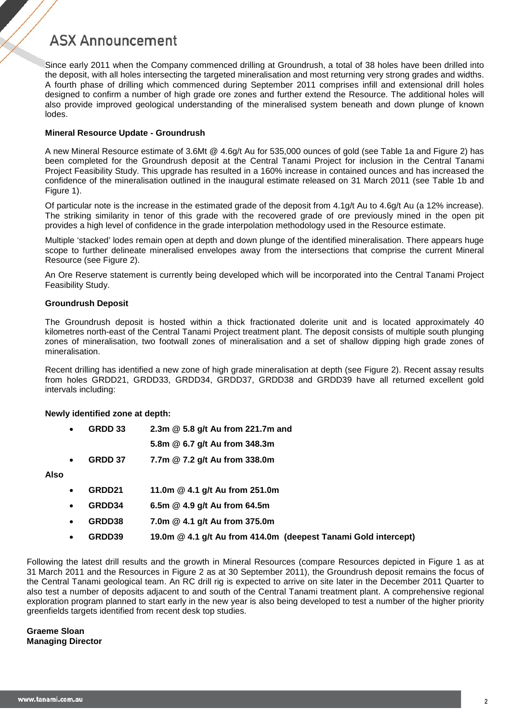Since early 2011 when the Company commenced drilling at Groundrush, a total of 38 holes have been drilled into the deposit, with all holes intersecting the targeted mineralisation and most returning very strong grades and widths. A fourth phase of drilling which commenced during September 2011 comprises infill and extensional drill holes designed to confirm a number of high grade ore zones and further extend the Resource. The additional holes will also provide improved geological understanding of the mineralised system beneath and down plunge of known lodes.

### **Mineral Resource Update - Groundrush**

A new Mineral Resource estimate of 3.6Mt @ 4.6g/t Au for 535,000 ounces of gold (see Table 1a and Figure 2) has been completed for the Groundrush deposit at the Central Tanami Project for inclusion in the Central Tanami Project Feasibility Study. This upgrade has resulted in a 160% increase in contained ounces and has increased the confidence of the mineralisation outlined in the inaugural estimate released on 31 March 2011 (see Table 1b and Figure 1).

Of particular note is the increase in the estimated grade of the deposit from 4.1g/t Au to 4.6g/t Au (a 12% increase). The striking similarity in tenor of this grade with the recovered grade of ore previously mined in the open pit provides a high level of confidence in the grade interpolation methodology used in the Resource estimate.

Multiple 'stacked' lodes remain open at depth and down plunge of the identified mineralisation. There appears huge scope to further delineate mineralised envelopes away from the intersections that comprise the current Mineral Resource (see Figure 2).

An Ore Reserve statement is currently being developed which will be incorporated into the Central Tanami Project Feasibility Study.

### **Groundrush Deposit**

The Groundrush deposit is hosted within a thick fractionated dolerite unit and is located approximately 40 kilometres north-east of the Central Tanami Project treatment plant. The deposit consists of multiple south plunging zones of mineralisation, two footwall zones of mineralisation and a set of shallow dipping high grade zones of mineralisation.

Recent drilling has identified a new zone of high grade mineralisation at depth (see Figure 2). Recent assay results from holes GRDD21, GRDD33, GRDD34, GRDD37, GRDD38 and GRDD39 have all returned excellent gold intervals including:

### **Newly identified zone at depth:**

| 2.3m @ 5.8 g/t Au from 221.7m and<br>GRDD 33 |
|----------------------------------------------|
|----------------------------------------------|

- **5.8m @ 6.7 g/t Au from 348.3m**
- **GRDD 37 7.7m @ 7.2 g/t Au from 338.0m**

**Also** 

- **GRDD21 11.0m @ 4.1 g/t Au from 251.0m**
- **GRDD34 6.5m @ 4.9 g/t Au from 64.5m**
- **GRDD38 7.0m @ 4.1 g/t Au from 375.0m**
- **GRDD39 19.0m @ 4.1 g/t Au from 414.0m (deepest Tanami Gold intercept)**

Following the latest drill results and the growth in Mineral Resources (compare Resources depicted in Figure 1 as at 31 March 2011 and the Resources in Figure 2 as at 30 September 2011), the Groundrush deposit remains the focus of the Central Tanami geological team. An RC drill rig is expected to arrive on site later in the December 2011 Quarter to also test a number of deposits adjacent to and south of the Central Tanami treatment plant. A comprehensive regional exploration program planned to start early in the new year is also being developed to test a number of the higher priority greenfields targets identified from recent desk top studies.

**Graeme Sloan Managing Director**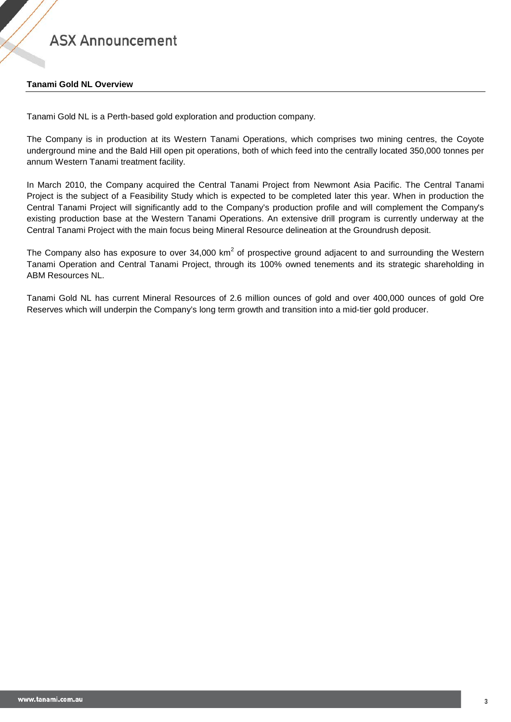### **Tanami Gold NL Overview**

Tanami Gold NL is a Perth-based gold exploration and production company.

The Company is in production at its Western Tanami Operations, which comprises two mining centres, the Coyote underground mine and the Bald Hill open pit operations, both of which feed into the centrally located 350,000 tonnes per annum Western Tanami treatment facility.

In March 2010, the Company acquired the Central Tanami Project from Newmont Asia Pacific. The Central Tanami Project is the subject of a Feasibility Study which is expected to be completed later this year. When in production the Central Tanami Project will significantly add to the Company's production profile and will complement the Company's existing production base at the Western Tanami Operations. An extensive drill program is currently underway at the Central Tanami Project with the main focus being Mineral Resource delineation at the Groundrush deposit.

The Company also has exposure to over  $34,000 \text{ km}^2$  of prospective ground adjacent to and surrounding the Western Tanami Operation and Central Tanami Project, through its 100% owned tenements and its strategic shareholding in ABM Resources NL.

Tanami Gold NL has current Mineral Resources of 2.6 million ounces of gold and over 400,000 ounces of gold Ore Reserves which will underpin the Company's long term growth and transition into a mid-tier gold producer.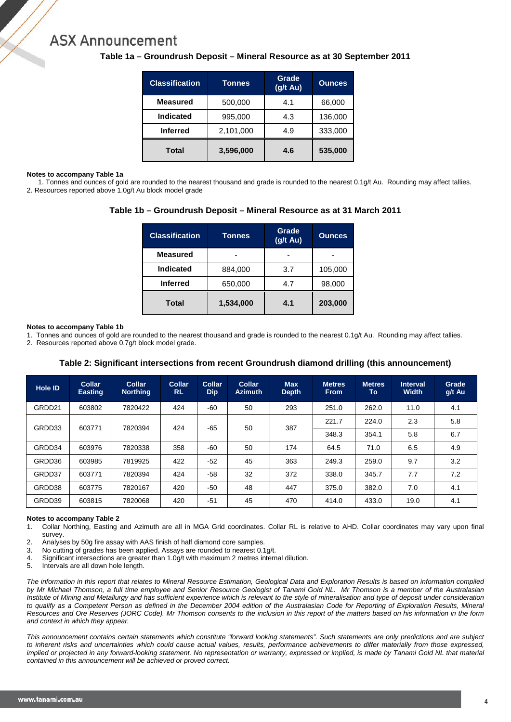| <b>Classification</b> | <b>Tonnes</b> | Grade<br>$(g/t \text{ Au})$ | <b>Ounces</b> |
|-----------------------|---------------|-----------------------------|---------------|
| <b>Measured</b>       | 500,000       | 4.1                         | 66,000        |
| <b>Indicated</b>      | 995,000       | 4.3                         | 136,000       |
| <b>Inferred</b>       | 2,101,000     | 4.9                         | 333,000       |
| <b>Total</b>          | 3,596,000     | 4.6                         | 535,000       |

### **Table 1a – Groundrush Deposit – Mineral Resource as at 30 September 2011**

#### **Notes to accompany Table 1a**

1. Tonnes and ounces of gold are rounded to the nearest thousand and grade is rounded to the nearest 0.1g/t Au. Rounding may affect tallies. 2. Resources reported above 1.0g/t Au block model grade

### **Table 1b – Groundrush Deposit – Mineral Resource as at 31 March 2011**

| <b>Classification</b> | Tonnes    | Grade<br>(g/t Au) | <b>Qunces</b> |  |
|-----------------------|-----------|-------------------|---------------|--|
| <b>Measured</b>       |           |                   |               |  |
| <b>Indicated</b>      | 884,000   | 3.7               | 105,000       |  |
| <b>Inferred</b>       | 650,000   | 4.7               | 98,000        |  |
| <b>Total</b>          | 1,534,000 | 4.1               | 203,000       |  |

#### **Notes to accompany Table 1b**

1. Tonnes and ounces of gold are rounded to the nearest thousand and grade is rounded to the nearest 0.1g/t Au. Rounding may affect tallies.

2. Resources reported above 0.7g/t block model grade.

### **Table 2: Significant intersections from recent Groundrush diamond drilling (this announcement)**

| Hole ID          | <b>Collar</b><br>Easting | Collar<br><b>Northing</b> | Collar<br><b>RL</b> | Collar<br><b>Dip</b> | Collar<br><b>Azimuth</b> | <b>Max</b><br><b>Depth</b> | <b>Metres</b><br><b>From</b> | <b>Metres</b><br>To | <b>Interval</b><br><b>Width</b> | Grade<br>g/t Au |
|------------------|--------------------------|---------------------------|---------------------|----------------------|--------------------------|----------------------------|------------------------------|---------------------|---------------------------------|-----------------|
| GRDD21           | 603802                   | 7820422                   | 424                 | $-60$                | 50                       | 293                        | 251.0                        | 262.0               | 11.0                            | 4.1             |
| GRDD33<br>603771 | 7820394                  | 424                       | $-65$               | 50                   | 387                      | 221.7                      | 224.0                        | 2.3                 | 5.8                             |                 |
|                  |                          |                           |                     |                      |                          |                            | 348.3                        | 354.1               | 5.8                             | 6.7             |
| GRDD34           | 603976                   | 7820338                   | 358                 | $-60$                | 50                       | 174                        | 64.5                         | 71.0                | 6.5                             | 4.9             |
| GRDD36           | 603985                   | 7819925                   | 422                 | $-52$                | 45                       | 363                        | 249.3                        | 259.0               | 9.7                             | 3.2             |
| GRDD37           | 603771                   | 7820394                   | 424                 | $-58$                | 32                       | 372                        | 338.0                        | 345.7               | 7.7                             | 7.2             |
| GRDD38           | 603775                   | 7820167                   | 420                 | $-50$                | 48                       | 447                        | 375.0                        | 382.0               | 7.0                             | 4.1             |
| GRDD39           | 603815                   | 7820068                   | 420                 | $-51$                | 45                       | 470                        | 414.0                        | 433.0               | 19.0                            | 4.1             |

#### **Notes to accompany Table 2**

1. Collar Northing, Easting and Azimuth are all in MGA Grid coordinates. Collar RL is relative to AHD. Collar coordinates may vary upon final survey.

- 2. Analyses by 50g fire assay with AAS finish of half diamond core samples.<br>3. No cutting of grades has been applied. Assays are rounded to nearest 0.1
- 3. No cutting of grades has been applied. Assays are rounded to nearest 0.1g/t.<br>4. Significant intersections are greater than 1.0g/t with maximum 2 metres interr
- 4. Significant intersections are greater than 1.0g/t with maximum 2 metres internal dilution.<br>5. Intervals are all down hole length

Intervals are all down hole length.

*The information in this report that relates to Mineral Resource Estimation, Geological Data and Exploration Results is based on information compiled by Mr Michael Thomson, a full time employee and Senior Resource Geologist of Tanami Gold NL. Mr Thomson is a member of the Australasian*  Institute of Mining and Metallurgy and has sufficient experience which is relevant to the style of mineralisation and type of deposit under consideration to qualify as a Competent Person as defined in the December 2004 edition of the Australasian Code for Reporting of Exploration Results, Mineral *Resources and Ore Reserves (JORC Code). Mr Thomson consents to the inclusion in this report of the matters based on his information in the form and context in which they appear.*

*This announcement contains certain statements which constitute "forward looking statements". Such statements are only predictions and are subject*  to inherent risks and uncertainties which could cause actual values, results, performance achievements to differ materially from those expressed, *implied or projected in any forward-looking statement. No representation or warranty, expressed or implied, is made by Tanami Gold NL that material contained in this announcement will be achieved or proved correct.*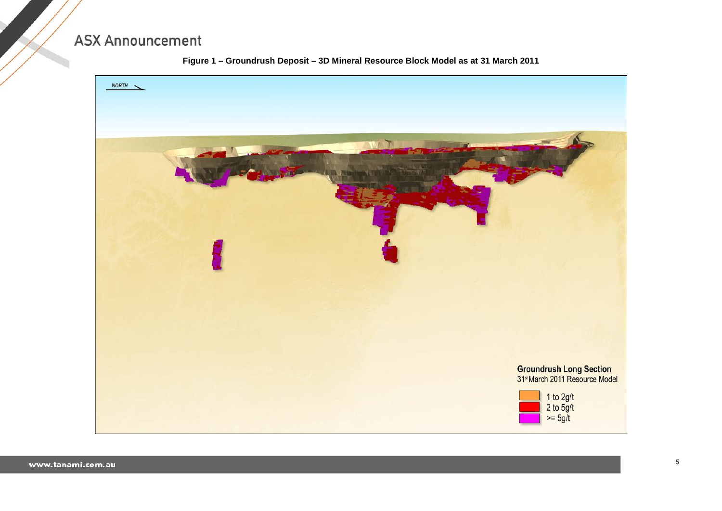

### **Figure 1 – Groundrush Deposit – 3D Mineral Resource Block Model as at 31 March 2011**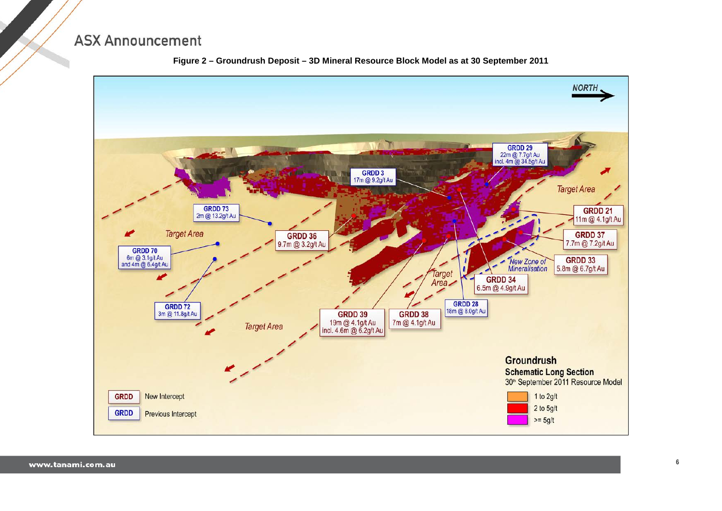

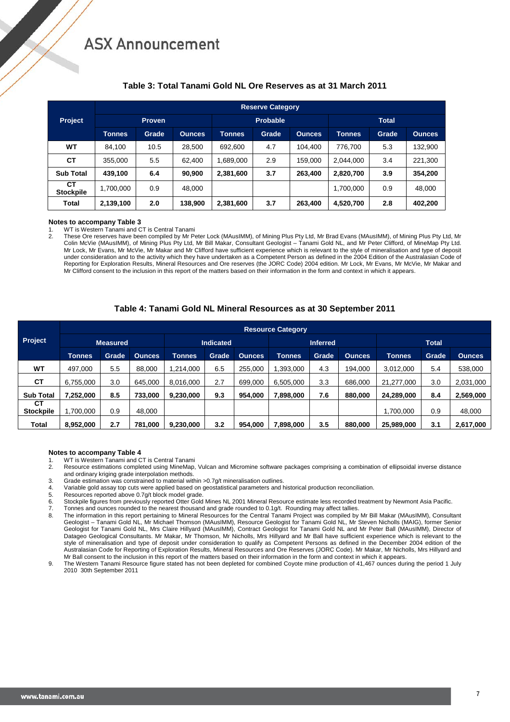|                        | <b>Reserve Category</b> |               |               |               |                 |               |               |       |               |  |  |  |  |
|------------------------|-------------------------|---------------|---------------|---------------|-----------------|---------------|---------------|-------|---------------|--|--|--|--|
| <b>Project</b>         |                         | <b>Proven</b> |               |               | <b>Probable</b> |               | <b>Total</b>  |       |               |  |  |  |  |
|                        | Tonnes                  | Grade         | <b>Ounces</b> | <b>Tonnes</b> | Grade           | <b>Ounces</b> | <b>Tonnes</b> | Grade | <b>Ounces</b> |  |  |  |  |
| WT                     | 84,100                  | 10.5          | 28,500        | 692,600       | 4.7             | 104,400       | 776,700       | 5.3   | 132,900       |  |  |  |  |
| СT                     | 355,000                 | 5.5           | 62,400        | 1,689,000     | 2.9             | 159,000       | 2,044,000     | 3.4   | 221.300       |  |  |  |  |
| <b>Sub Total</b>       | 439,100                 | 6.4           | 90,900        | 2,381,600     | 3.7             | 263,400       | 2,820,700     | 3.9   | 354,200       |  |  |  |  |
| CТ<br><b>Stockpile</b> | 1,700,000               | 0.9           | 48.000        |               |                 |               | 1,700,000     | 0.9   | 48,000        |  |  |  |  |
| Total                  | 2,139,100               | 2.0           | 138.900       | 2,381,600     | 3.7             | 263,400       | 4,520,700     | 2.8   | 402,200       |  |  |  |  |

### **Table 3: Total Tanami Gold NL Ore Reserves as at 31 March 2011**

#### **Notes to accompany Table 3**

1. WT is Western Tanami and CT is Central Tanami<br>2 These Ore reserves have been compiled by Mr Po

2. These Ore reserves have been compiled by Mr Peter Lock (MAusIMM), of Mining Plus Pty Ltd, Mr Brad Evans (MAusIMM), of Mining Plus Pty Ltd, Mr Colin McVie (MAusIMM), of Mining Plus Pty Ltd, Mr Bill Makar, Consultant Geologist – Tanami Gold NL, and Mr Peter Clifford, of MineMap Pty Ltd. Mr Lock, Mr Evans, Mr McVie, Mr Makar and Mr Clifford have sufficient experience which is relevant to the style of mineralisation and type of deposit under consideration and to the activity which they have undertaken as a Competent Person as defined in the 2004 Edition of the Australasian Code of Reporting for Exploration Results, Mineral Resources and Ore reserves (the JORC Code) 2004 edition. Mr Lock, Mr Evans, Mr McVie, Mr Makar and Mr Clifford consent to the inclusion in this report of the matters based on their information in the form and context in which it appears.

### **Table 4: Tanami Gold NL Mineral Resources as at 30 September 2011**

|                        | <b>Resource Category</b> |       |               |                  |       |               |                 |       |               |               |       |               |  |  |
|------------------------|--------------------------|-------|---------------|------------------|-------|---------------|-----------------|-------|---------------|---------------|-------|---------------|--|--|
| Project                | <b>Measured</b>          |       |               | <b>Indicated</b> |       |               | <b>Inferred</b> |       |               | <b>Total</b>  |       |               |  |  |
|                        | <b>Tonnes</b>            | Grade | <b>Ounces</b> | Tonnes           | Grade | <b>Ounces</b> | <b>Tonnes</b>   | Grade | <b>Ounces</b> | <b>Tonnes</b> | Grade | <b>Ounces</b> |  |  |
| <b>WT</b>              | 497.000                  | 5.5   | 88,000        | 1.214.000        | 6.5   | 255.000       | 1,393,000       | 4.3   | 194.000       | 3,012,000     | 5.4   | 538,000       |  |  |
| CТ                     | 6,755,000                | 3.0   | 645.000       | 8,016,000        | 2.7   | 699,000       | 6,505,000       | 3.3   | 686,000       | 21,277,000    | 3.0   | 2,031,000     |  |  |
| <b>Sub Total</b>       | 7,252,000                | 8.5   | 733.000       | 9,230,000        | 9.3   | 954,000       | 7,898,000       | 7.6   | 880,000       | 24,289,000    | 8.4   | 2,569,000     |  |  |
| CТ<br><b>Stockpile</b> | 1,700,000                | 0.9   | 48,000        |                  |       |               |                 |       |               | ,700,000      | 0.9   | 48,000        |  |  |
| Total                  | 8,952,000                | 2.7   | 781,000       | 9,230,000        | 3.2   | 954,000       | 7,898,000       | 3.5   | 880,000       | 25,989,000    | 3.1   | 2,617,000     |  |  |

#### **Notes to accompany Table 4**

1. WT is Western Tanami and CT is Central Tanami<br>2. Resource estimations completed using MineMap

- 2. Resource estimations completed using MineMap, Vulcan and Micromine software packages comprising a combination of ellipsoidal inverse distance and ordinary kriging grade interpolation methods.
- 3. Grade estimation was constrained to material within >0.7g/t mineralisation outlines.
- 4. Variable gold assay top cuts were applied based on geostatistical parameters and historical production reconciliation.<br>5. Resources reported above 0.7q/t block model grade.
- 5. Resources reported above 0.7g/t block model grade<br>6. Stockpile figures from previously reported Otter Gold
- 6. Stockpile figures from previously reported Otter Gold Mines NL 2001 Mineral Resource estimate less recorded treatment by Newmont Asia Pacific.
- 7. Tonnes and ounces rounded to the nearest thousand and grade rounded to 0.1g/t. Rounding may affect tallies.
- 8. The information in this report pertaining to Mineral Resources for the Central Tanami Project was compiled by Mr Bill Makar (MAusIMM), Consultant Geologist – Tanami Gold NL, Mr Michael Thomson (MAusIMM), Resource Geologist for Tanami Gold NL, Mr Steven Nicholls (MAIG), former Senior Geologist for Tanami Gold NL, Mrs Claire Hillyard (MAusIMM), Contract Geologist for Tanami Gold NL and Mr Peter Ball (MAusIMM), Director of Datageo Geological Consultants. Mr Makar, Mr Thomson, Mr Nicholls, Mrs Hillyard and Mr Ball have sufficient experience which is relevant to the style of mineralisation and type of deposit under consideration to qualify as Competent Persons as defined in the December 2004 edition of the Australasian Code for Reporting of Exploration Results, Mineral Resources and Ore Reserves (JORC Code). Mr Makar, Mr Nicholls, Mrs Hillyard and Mr Ball consent to the inclusion in this report of the matters based on their information in the form and context in which it appears.
- 9. The Western Tanami Resource figure stated has not been depleted for combined Coyote mine production of 41,467 ounces during the period 1 July 2010 30th September 2011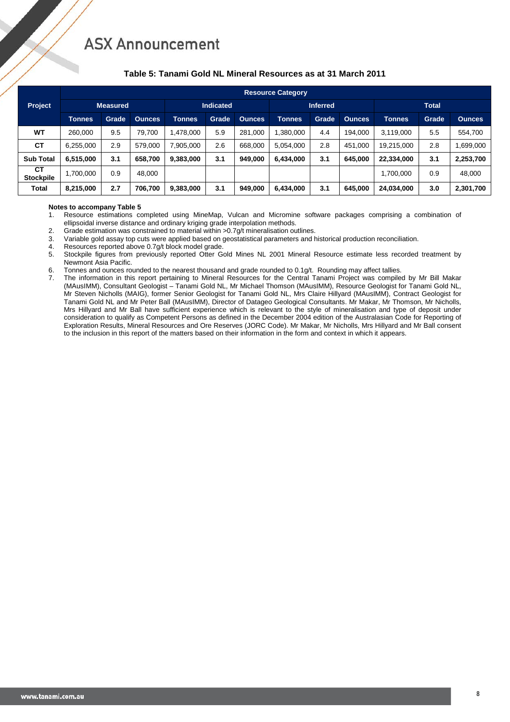### **Table 5: Tanami Gold NL Mineral Resources as at 31 March 2011**

|                               |                 | <b>Resource Category</b> |               |                  |       |               |                 |       |               |               |       |               |  |  |  |
|-------------------------------|-----------------|--------------------------|---------------|------------------|-------|---------------|-----------------|-------|---------------|---------------|-------|---------------|--|--|--|
| Project                       | <b>Measured</b> |                          |               | <b>Indicated</b> |       |               | <b>Inferred</b> |       |               | <b>Total</b>  |       |               |  |  |  |
|                               | <b>Tonnes</b>   | Grade                    | <b>Ounces</b> | <b>Tonnes</b>    | Grade | <b>Ounces</b> | <b>Tonnes</b>   | Grade | <b>Ounces</b> | <b>Tonnes</b> | Grade | <b>Ounces</b> |  |  |  |
| <b>WT</b>                     | 260.000         | 9.5                      | 79.700        | .478.000         | 5.9   | 281.000       | 1.380.000       | 4.4   | 194.000       | 3,119,000     | 5.5   | 554,700       |  |  |  |
| <b>CT</b>                     | 6,255,000       | 2.9                      | 579.000       | 7,905,000        | 2.6   | 668,000       | 5,054,000       | 2.8   | 451,000       | 19,215,000    | 2.8   | ,699,000      |  |  |  |
| <b>Sub Total</b>              | 6,515,000       | 3.1                      | 658.700       | 9,383,000        | 3.1   | 949.000       | 6.434.000       | 3.1   | 645.000       | 22,334,000    | 3.1   | 2,253,700     |  |  |  |
| <b>CT</b><br><b>Stockpile</b> | 1,700,000       | 0.9                      | 48,000        |                  |       |               |                 |       |               | 1,700,000     | 0.9   | 48,000        |  |  |  |
| Total                         | 8,215,000       | 2.7                      | 706,700       | 9,383,000        | 3.1   | 949,000       | 6,434,000       | 3.1   | 645.000       | 24,034,000    | 3.0   | 2,301,700     |  |  |  |

## **Notes to accompany Table 5**<br>**1** Resource estimations comp

- 1. Resource estimations completed using MineMap, Vulcan and Micromine software packages comprising a combination of ellipsoidal inverse distance and ordinary kriging grade interpolation methods.
- 
- 2. Grade estimation was constrained to material within >0.7g/t mineralisation outlines.<br>3. Variable gold assay top cuts were applied based on geostatistical parameters and h 3. Variable gold assay top cuts were applied based on geostatistical parameters and historical production reconciliation.<br>4. Resources reported above 0.70/t block model grade
- Resources reported above 0.7g/t block model grade.
- 5. Stockpile figures from previously reported Otter Gold Mines NL 2001 Mineral Resource estimate less recorded treatment by Newmont Asia Pacific.
- 6. Tonnes and ounces rounded to the nearest thousand and grade rounded to 0.1g/t. Rounding may affect tallies.
- 7. The information in this report pertaining to Mineral Resources for the Central Tanami Project was compiled by Mr Bill Makar (MAusIMM), Consultant Geologist – Tanami Gold NL, Mr Michael Thomson (MAusIMM), Resource Geologist for Tanami Gold NL, Mr Steven Nicholls (MAIG), former Senior Geologist for Tanami Gold NL, Mrs Claire Hillyard (MAusIMM), Contract Geologist for Tanami Gold NL and Mr Peter Ball (MAusIMM), Director of Datageo Geological Consultants. Mr Makar, Mr Thomson, Mr Nicholls, Mrs Hillyard and Mr Ball have sufficient experience which is relevant to the style of mineralisation and type of deposit under consideration to qualify as Competent Persons as defined in the December 2004 edition of the Australasian Code for Reporting of Exploration Results, Mineral Resources and Ore Reserves (JORC Code). Mr Makar, Mr Nicholls, Mrs Hillyard and Mr Ball consent to the inclusion in this report of the matters based on their information in the form and context in which it appears.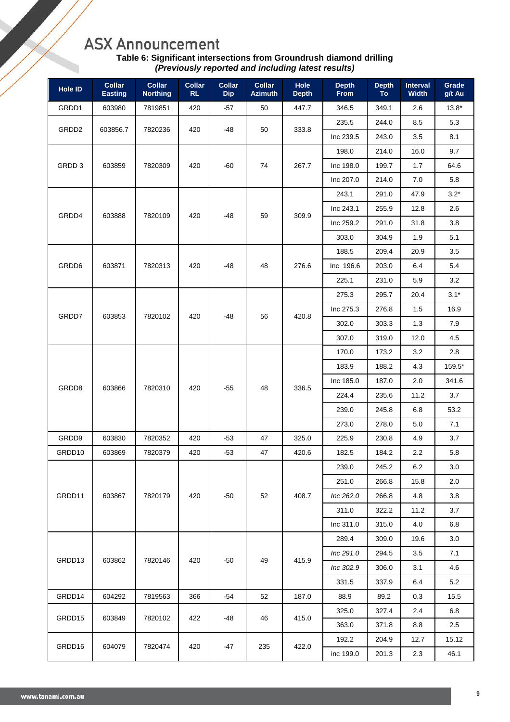| Table 6: Significant intersections from Groundrush diamond drilling |  |
|---------------------------------------------------------------------|--|
| (Previously reported and including latest results)                  |  |

| <b>Hole ID</b>    | <b>Collar</b><br><b>Easting</b> | <b>Collar</b><br><b>Northing</b> | <b>Collar</b><br>RL | <b>Collar</b><br><b>Dip</b> | <b>Collar</b><br><b>Azimuth</b> | <b>Hole</b><br><b>Depth</b> | <b>Depth</b><br><b>From</b> | <b>Depth</b><br><b>To</b> | Interval<br><b>Width</b> | Grade<br>g/t Au |        |
|-------------------|---------------------------------|----------------------------------|---------------------|-----------------------------|---------------------------------|-----------------------------|-----------------------------|---------------------------|--------------------------|-----------------|--------|
| GRDD1             | 603980                          | 7819851                          | 420                 | -57                         | 50                              | 447.7                       | 346.5                       | 349.1                     | 2.6                      | $13.8*$         |        |
|                   |                                 |                                  |                     |                             |                                 |                             | 235.5                       | 244.0                     | 8.5                      | 5.3             |        |
| GRDD <sub>2</sub> | 603856.7                        | 7820236                          | 420                 | -48                         | 50                              | 333.8                       | Inc 239.5                   | 243.0                     | 3.5                      | 8.1             |        |
|                   |                                 |                                  |                     | -60                         |                                 |                             | 198.0                       | 214.0                     | 16.0                     | 9.7             |        |
| GRDD 3            | 603859                          | 7820309                          | 420                 |                             | 74                              | 267.7                       | Inc 198.0                   | 199.7                     | 1.7                      | 64.6            |        |
|                   |                                 |                                  |                     |                             |                                 |                             | Inc 207.0                   | 214.0                     | 7.0                      | 5.8             |        |
|                   |                                 |                                  |                     |                             |                                 |                             |                             | 243.1                     | 291.0                    | 47.9            | $3.2*$ |
| GRDD4             |                                 |                                  |                     |                             |                                 | 309.9                       | Inc 243.1                   | 255.9                     | 12.8                     | 2.6             |        |
|                   | 603888                          | 7820109                          | 420                 | -48                         | 59                              |                             | Inc 259.2                   | 291.0                     | 31.8                     | 3.8             |        |
|                   |                                 |                                  |                     |                             |                                 |                             | 303.0                       | 304.9                     | 1.9                      | 5.1             |        |
|                   |                                 |                                  |                     |                             |                                 |                             | 188.5                       | 209.4                     | 20.9                     | 3.5             |        |
| GRDD6             | 603871                          | 7820313                          | 420                 | -48                         | 48                              | 276.6                       | Inc 196.6                   | 203.0                     | 6.4                      | 5.4             |        |
|                   |                                 |                                  |                     |                             |                                 |                             | 225.1                       | 231.0                     | 5.9                      | 3.2             |        |
| GRDD7             |                                 |                                  |                     |                             |                                 |                             | 275.3                       | 295.7                     | 20.4                     | $3.1*$          |        |
|                   | 603853                          | 7820102                          |                     | $-48$                       | 56                              | 420.8                       | Inc 275.3                   | 276.8                     | 1.5                      | 16.9            |        |
|                   |                                 |                                  | 420                 |                             |                                 |                             | 302.0                       | 303.3                     | 1.3                      | 7.9             |        |
|                   |                                 |                                  |                     |                             |                                 |                             | 307.0                       | 319.0                     | 12.0                     | 4.5             |        |
|                   |                                 |                                  |                     |                             | 48                              |                             | 170.0                       | 173.2                     | 3.2                      | 2.8             |        |
|                   |                                 |                                  |                     |                             |                                 |                             | 183.9                       | 188.2                     | 4.3                      | 159.5*          |        |
| GRDD8             |                                 | 7820310                          | 420                 | -55                         |                                 | 336.5                       | Inc 185.0                   | 187.0                     | 2.0                      | 341.6           |        |
|                   | 603866                          |                                  |                     |                             |                                 |                             | 224.4                       | 235.6                     | 11.2                     | 3.7             |        |
|                   |                                 |                                  |                     |                             |                                 |                             | 239.0                       | 245.8                     | 6.8                      | 53.2            |        |
|                   |                                 |                                  |                     |                             |                                 |                             | 273.0                       | 278.0                     | 5.0                      | 7.1             |        |
| GRDD9             | 603830                          | 7820352                          | 420                 | $-53$                       | 47                              | 325.0                       | 225.9                       | 230.8                     | 4.9                      | 3.7             |        |
| GRDD10            | 603869                          | 7820379                          | 420                 | $-53$                       | 47                              | 420.6                       | 182.5                       | 184.2                     | 2.2                      | 5.8             |        |
|                   |                                 |                                  |                     |                             |                                 |                             | 239.0                       | 245.2                     | 6.2                      | 3.0             |        |
|                   |                                 |                                  |                     |                             |                                 |                             | 251.0                       | 266.8                     | 15.8                     | 2.0             |        |
| GRDD11            | 603867                          | 7820179                          | 420                 | $-50$                       | 52                              | 408.7                       | Inc 262.0                   | 266.8                     | 4.8                      | 3.8             |        |
|                   |                                 |                                  |                     |                             |                                 |                             | 311.0                       | 322.2                     | 11.2                     | 3.7             |        |
|                   |                                 |                                  |                     |                             |                                 |                             | Inc 311.0                   | 315.0                     | 4.0                      | 6.8             |        |
|                   |                                 |                                  |                     |                             |                                 |                             | 289.4                       | 309.0                     | 19.6                     | 3.0             |        |
| GRDD13            | 603862                          | 7820146                          | 420                 | $-50$                       | 49                              | 415.9                       | Inc 291.0                   | 294.5                     | 3.5                      | 7.1             |        |
|                   |                                 |                                  |                     |                             |                                 |                             | Inc 302.9                   | 306.0                     | 3.1                      | 4.6             |        |
|                   |                                 |                                  |                     |                             |                                 |                             | 331.5                       | 337.9                     | 6.4                      | 5.2             |        |
| GRDD14            | 604292                          | 7819563                          | 366                 | -54                         | 52                              | 187.0                       | 88.9                        | 89.2                      | 0.3                      | 15.5            |        |
|                   |                                 |                                  |                     |                             |                                 |                             | 325.0                       | 327.4                     | 2.4                      | 6.8             |        |
| GRDD15            | 603849                          | 7820102                          | 422                 | -48                         | 46                              | 415.0                       | 363.0                       | 371.8                     | 8.8                      | 2.5             |        |
|                   |                                 |                                  |                     |                             |                                 |                             | 192.2                       | 204.9                     | 12.7                     | 15.12           |        |
| GRDD16            | 604079                          | 7820474                          | 420                 | -47                         | 235                             | 422.0                       | inc 199.0                   | 201.3                     | 2.3                      | 46.1            |        |